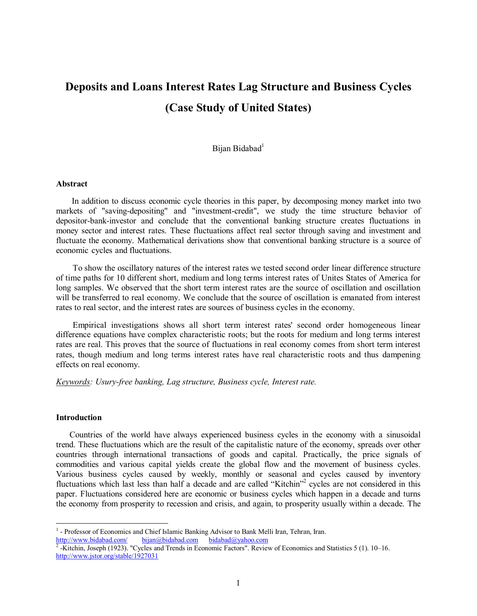# **Deposits and Loans Interest Rates Lag Structure and Business Cycles (Case Study of United States)**

Bijan Bidabad<sup>1</sup>

#### **Abstract**

In addition to discuss economic cycle theories in this paper, by decomposing money market into two markets of "saving-depositing" and "investment-credit", we study the time structure behavior of depositor-bank-investor and conclude that the conventional banking structure creates fluctuations in money sector and interest rates. These fluctuations affect real sector through saving and investment and fluctuate the economy. Mathematical derivations show that conventional banking structure is a source of economic cycles and fluctuations.

To show the oscillatory natures of the interest rates we tested second order linear difference structure of time paths for 10 different short, medium and long terms interest rates of Unites States of America for long samples. We observed that the short term interest rates are the source of oscillation and oscillation will be transferred to real economy. We conclude that the source of oscillation is emanated from interest rates to real sector, and the interest rates are sources of business cycles in the economy.

Empirical investigations shows all short term interest rates' second order homogeneous linear difference equations have complex characteristic roots; but the roots for medium and long terms interest rates are real. This proves that the source of fluctuations in real economy comes from short term interest rates, though medium and long terms interest rates have real characteristic roots and thus dampening effects on real economy.

*Keywords: Usury-free banking, Lag structure, Business cycle, Interest rate.* 

#### **Introduction**

Countries of the world have always experienced business cycles in the economy with a sinusoidal trend. These fluctuations which are the result of the capitalistic nature of the economy, spreads over other countries through international transactions of goods and capital. Practically, the price signals of commodities and various capital yields create the global flow and the movement of business cycles. Various business cycles caused by weekly, monthly or seasonal and cycles caused by inventory fluctuations which last less than half a decade and are called "Kitchin"<sup>2</sup> cycles are not considered in this paper. Fluctuations considered here are economic or business cycles which happen in a decade and turns the economy from prosperity to recession and crisis, and again, to prosperity usually within a decade. The

<sup>&</sup>lt;sup>1</sup> - Professor of Economics and Chief Islamic Banking Advisor to Bank Melli Iran, Tehran, Iran.

<http://www.bidabad.com/> [bijan@bidabad.com](mailto:bijan@bidabad.com) [bidabad@yahoo.com](mailto:bidabad@yahoo.com)<br><sup>2</sup> -Kitchin, Joseph (1923). "Cycles and Trends in Economic Factors". Review of Economics and Statistics 5 (1). 10–16. <http://www.jstor.org/stable/1927031>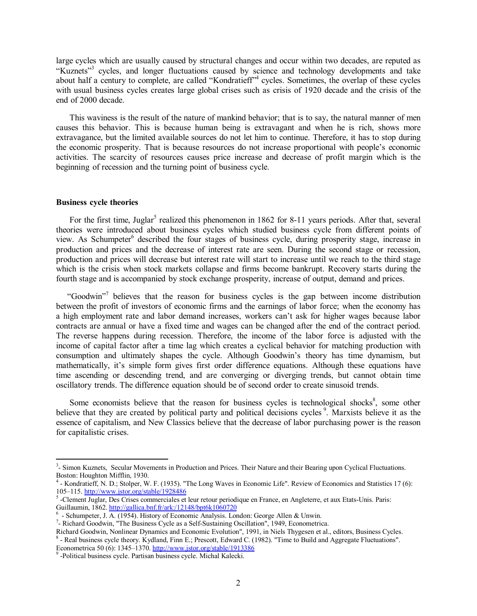large cycles which are usually caused by structural changes and occur within two decades, are reputed as "Kuznets"<sup>3</sup> cycles, and longer fluctuations caused by science and technology developments and take about half a century to complete, are called "Kondratieff"<sup>4</sup> cycles. Sometimes, the overlap of these cycles with usual business cycles creates large global crises such as crisis of 1920 decade and the crisis of the end of 2000 decade.

 This waviness is the result of the nature of mankind behavior; that is to say, the natural manner of men causes this behavior. This is because human being is extravagant and when he is rich, shows more extravagance, but the limited available sources do not let him to continue. Therefore, it has to stop during the economic prosperity. That is because resources do not increase proportional with people's economic activities. The scarcity of resources causes price increase and decrease of profit margin which is the beginning of recession and the turning point of business cycle.

## **Business cycle theories**

For the first time, Juglar<sup>5</sup> realized this phenomenon in 1862 for 8-11 years periods. After that, several theories were introduced about business cycles which studied business cycle from different points of view. As Schumpeter<sup>6</sup> described the four stages of business cycle, during prosperity stage, increase in production and prices and the decrease of interest rate are seen. During the second stage or recession, production and prices will decrease but interest rate will start to increase until we reach to the third stage which is the crisis when stock markets collapse and firms become bankrupt. Recovery starts during the fourth stage and is accompanied by stock exchange prosperity, increase of output, demand and prices.

"Goodwin"<sup>7</sup> believes that the reason for business cycles is the gap between income distribution between the profit of investors of economic firms and the earnings of labor force; when the economy has a high employment rate and labor demand increases, workers can't ask for higher wages because labor contracts are annual or have a fixed time and wages can be changed after the end of the contract period. The reverse happens during recession. Therefore, the income of the labor force is adjusted with the income of capital factor after a time lag which creates a cyclical behavior for matching production with consumption and ultimately shapes the cycle. Although Goodwin's theory has time dynamism, but mathematically, it's simple form gives first order difference equations. Although these equations have time ascending or descending trend, and are converging or diverging trends, but cannot obtain time oscillatory trends. The difference equation should be of second order to create sinusoid trends.

Some economists believe that the reason for business cycles is technological shocks $\delta$ , some other believe that they are created by political party and political decisions cycles<sup>9</sup>. Marxists believe it as the essence of capitalism, and New Classics believe that the decrease of labor purchasing power is the reason for capitalistic crises.

<sup>&</sup>lt;sup>3</sup>- Simon Kuznets, Secular Movements in Production and Prices. Their Nature and their Bearing upon Cyclical Fluctuations. Boston: Houghton Mifflin, 1930.

<sup>4</sup> - Kondratieff, N. D.; Stolper, W. F. (1935). "The Long Waves in Economic Life". Review of Economics and Statistics 17 (6): 105–115.<http://www.jstor.org/stable/1928486>

<sup>5</sup> -Clement Juglar, Des Crises commerciales et leur retour periodique en France, en Angleterre, et aux Etats-Unis. Paris: Guillaumin, 1862.<http://gallica.bnf.fr/ark:/12148/bpt6k1060720>

<sup>&</sup>lt;sup>6</sup> - Schumpeter, J. A. (1954). History of Economic Analysis. London: George Allen & Unwin.

<sup>&</sup>lt;sup>7</sup>- Richard Goodwin, "The Business Cycle as a Self-Sustaining Oscillation", 1949, Econometrica.

Richard Goodwin, Nonlinear Dynamics and Economic Evolution", 1991, in Niels Thygesen et al., editors, Business Cycles. 8 - Real business cycle theory. Kydland, Finn E.; Prescott, Edward C. (1982). "Time to Build and Aggregate Fluctuations". Econometrica 50 (6): 1345–1370. <http://www.jstor.org/stable/1913386>

<sup>9</sup> -Political business cycle. Partisan business cycle. Michal Kalecki.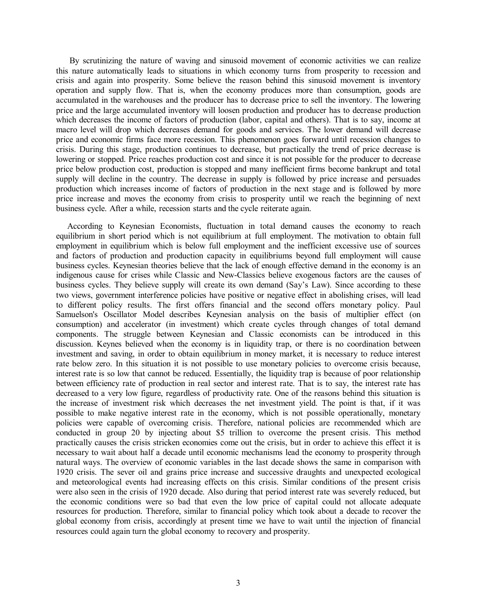By scrutinizing the nature of waving and sinusoid movement of economic activities we can realize this nature automatically leads to situations in which economy turns from prosperity to recession and crisis and again into prosperity. Some believe the reason behind this sinusoid movement is inventory operation and supply flow. That is, when the economy produces more than consumption, goods are accumulated in the warehouses and the producer has to decrease price to sell the inventory. The lowering price and the large accumulated inventory will loosen production and producer has to decrease production which decreases the income of factors of production (labor, capital and others). That is to say, income at macro level will drop which decreases demand for goods and services. The lower demand will decrease price and economic firms face more recession. This phenomenon goes forward until recession changes to crisis. During this stage, production continues to decrease, but practically the trend of price decrease is lowering or stopped. Price reaches production cost and since it is not possible for the producer to decrease price below production cost, production is stopped and many inefficient firms become bankrupt and total supply will decline in the country. The decrease in supply is followed by price increase and persuades production which increases income of factors of production in the next stage and is followed by more price increase and moves the economy from crisis to prosperity until we reach the beginning of next business cycle. After a while, recession starts and the cycle reiterate again.

 According to Keynesian Economists, fluctuation in total demand causes the economy to reach equilibrium in short period which is not equilibrium at full employment. The motivation to obtain full employment in equilibrium which is below full employment and the inefficient excessive use of sources and factors of production and production capacity in equilibriums beyond full employment will cause business cycles. Keynesian theories believe that the lack of enough effective demand in the economy is an indigenous cause for crises while Classic and New-Classics believe exogenous factors are the causes of business cycles. They believe supply will create its own demand (Say's Law). Since according to these two views, government interference policies have positive or negative effect in abolishing crises, will lead to different policy results. The first offers financial and the second offers monetary policy. Paul Samuelson's Oscillator Model describes Keynesian analysis on the basis of multiplier effect (on consumption) and accelerator (in investment) which create cycles through changes of total demand components. The struggle between Keynesian and Classic economists can be introduced in this discussion. Keynes believed when the economy is in liquidity trap, or there is no coordination between investment and saving, in order to obtain equilibrium in money market, it is necessary to reduce interest rate below zero. In this situation it is not possible to use monetary policies to overcome crisis because, interest rate is so low that cannot be reduced. Essentially, the liquidity trap is because of poor relationship between efficiency rate of production in real sector and interest rate. That is to say, the interest rate has decreased to a very low figure, regardless of productivity rate. One of the reasons behind this situation is the increase of investment risk which decreases the net investment yield. The point is that, if it was possible to make negative interest rate in the economy, which is not possible operationally, monetary policies were capable of overcoming crisis. Therefore, national policies are recommended which are conducted in group 20 by injecting about \$5 trillion to overcome the present crisis. This method practically causes the crisis stricken economies come out the crisis, but in order to achieve this effect it is necessary to wait about half a decade until economic mechanisms lead the economy to prosperity through natural ways. The overview of economic variables in the last decade shows the same in comparison with 1920 crisis. The sever oil and grains price increase and successive draughts and unexpected ecological and meteorological events had increasing effects on this crisis. Similar conditions of the present crisis were also seen in the crisis of 1920 decade. Also during that period interest rate was severely reduced, but the economic conditions were so bad that even the low price of capital could not allocate adequate resources for production. Therefore, similar to financial policy which took about a decade to recover the global economy from crisis, accordingly at present time we have to wait until the injection of financial resources could again turn the global economy to recovery and prosperity.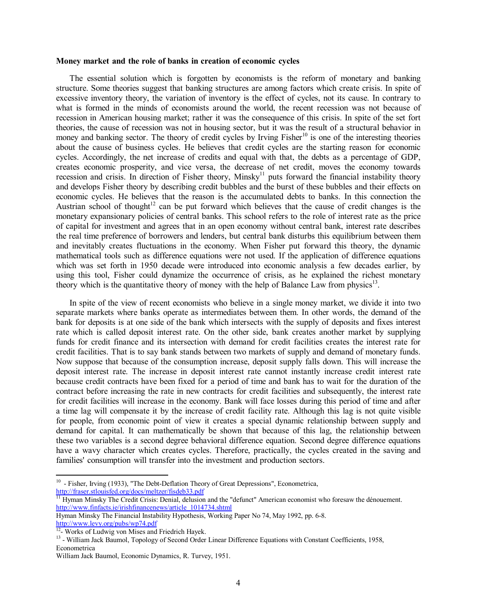#### **Money market and the role of banks in creation of economic cycles**

 The essential solution which is forgotten by economists is the reform of monetary and banking structure. Some theories suggest that banking structures are among factors which create crisis. In spite of excessive inventory theory, the variation of inventory is the effect of cycles, not its cause. In contrary to what is formed in the minds of economists around the world, the recent recession was not because of recession in American housing market; rather it was the consequence of this crisis. In spite of the set fort theories, the cause of recession was not in housing sector, but it was the result of a structural behavior in money and banking sector. The theory of credit cycles by Irving  $Fisher^{10}$  is one of the interesting theories about the cause of business cycles. He believes that credit cycles are the starting reason for economic cycles. Accordingly, the net increase of credits and equal with that, the debts as a percentage of GDP, creates economic prosperity, and vice versa, the decrease of net credit, moves the economy towards recession and crisis. In direction of Fisher theory, Minsky<sup>11</sup> puts forward the financial instability theory and develops Fisher theory by describing credit bubbles and the burst of these bubbles and their effects on economic cycles. He believes that the reason is the accumulated debts to banks. In this connection the Austrian school of thought<sup>12</sup> can be put forward which believes that the cause of credit changes is the monetary expansionary policies of central banks. This school refers to the role of interest rate as the price of capital for investment and agrees that in an open economy without central bank, interest rate describes the real time preference of borrowers and lenders, but central bank disturbs this equilibrium between them and inevitably creates fluctuations in the economy. When Fisher put forward this theory, the dynamic mathematical tools such as difference equations were not used. If the application of difference equations which was set forth in 1950 decade were introduced into economic analysis a few decades earlier, by using this tool, Fisher could dynamize the occurrence of crisis, as he explained the richest monetary theory which is the quantitative theory of money with the help of Balance Law from physics $^{13}$ .

 In spite of the view of recent economists who believe in a single money market, we divide it into two separate markets where banks operate as intermediates between them. In other words, the demand of the bank for deposits is at one side of the bank which intersects with the supply of deposits and fixes interest rate which is called deposit interest rate. On the other side, bank creates another market by supplying funds for credit finance and its intersection with demand for credit facilities creates the interest rate for credit facilities. That is to say bank stands between two markets of supply and demand of monetary funds. Now suppose that because of the consumption increase, deposit supply falls down. This will increase the deposit interest rate. The increase in deposit interest rate cannot instantly increase credit interest rate because credit contracts have been fixed for a period of time and bank has to wait for the duration of the contract before increasing the rate in new contracts for credit facilities and subsequently, the interest rate for credit facilities will increase in the economy. Bank will face losses during this period of time and after a time lag will compensate it by the increase of credit facility rate. Although this lag is not quite visible for people, from economic point of view it creates a special dynamic relationship between supply and demand for capital. It can mathematically be shown that because of this lag, the relationship between these two variables is a second degree behavioral difference equation. Second degree difference equations have a wavy character which creates cycles. Therefore, practically, the cycles created in the saving and families' consumption will transfer into the investment and production sectors.

 $\overline{a}$ 

<sup>&</sup>lt;sup>10</sup> - Fisher, Irving (1933), "The Debt-Deflation Theory of Great Depressions", Econometrica, <http://fraser.stlouisfed.org/docs/meltzer/fisdeb33.pdf>

<sup>&</sup>lt;sup>11</sup> Hyman Minsky The Credit Crisis: Denial, delusion and the "defunct" American economist who foresaw the dénouement. [http://www.finfacts.ie/irishfinancenews/article\\_1014734.shtml](http://www.finfacts.ie/irishfinancenews/article_1014734.shtml) 

Hyman Minsky The Financial Instability Hypothesis, Working Paper No 74, May 1992, pp. 6-8. <http://www.levy.org/pubs/wp74.pdf><br><sup>12</sup>- Works of Ludwig von Mises and Friedrich Hayek.

<sup>&</sup>lt;sup>13</sup> - William Jack Baumol, Topology of Second Order Linear Difference Equations with Constant Coefficients, 1958, Econometrica

William Jack Baumol, Economic Dynamics, R. Turvey, 1951.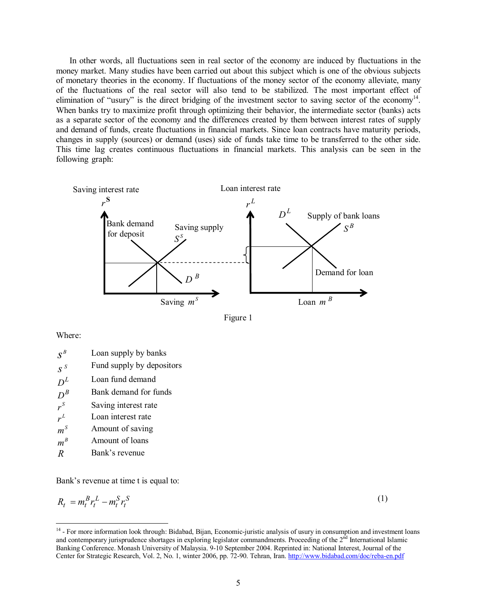In other words, all fluctuations seen in real sector of the economy are induced by fluctuations in the money market. Many studies have been carried out about this subject which is one of the obvious subjects of monetary theories in the economy. If fluctuations of the money sector of the economy alleviate, many of the fluctuations of the real sector will also tend to be stabilized. The most important effect of elimination of "usury" is the direct bridging of the investment sector to saving sector of the economy<sup>14</sup>. When banks try to maximize profit through optimizing their behavior, the intermediate sector (banks) acts as a separate sector of the economy and the differences created by them between interest rates of supply and demand of funds, create fluctuations in financial markets. Since loan contracts have maturity periods, changes in supply (sources) or demand (uses) side of funds take time to be transferred to the other side. This time lag creates continuous fluctuations in financial markets. This analysis can be seen in the following graph:





Where:

| $\sigma S$ | Fund supply by depositors |
|------------|---------------------------|
|------------|---------------------------|

- $D^L$ Loan fund demand
- $D^B$ Bank demand for funds
- *S r* Saving interest rate
- $r^L$ Loan interest rate
- $m<sup>S</sup>$ *m* Amount of saving
- $m^B$ *m* Amount of loans
- *R* Bank's revenue

Bank's revenue at time t is equal to:

$$
R_t = m_t^B r_t^L - m_t^S r_t^S \tag{1}
$$

<sup>&</sup>lt;sup>14</sup> - For more information look through: Bidabad, Bijan, Economic-juristic analysis of usury in consumption and investment loans and contemporary jurisprudence shortages in exploring legislator commandments. Proceeding of the  $2<sup>nd</sup>$  International Islamic Banking Conference. Monash University of Malaysia. 9-10 September 2004. Reprinted in: National Interest, Journal of the Center for Strategic Research, Vol. 2, No. 1, winter 2006, pp. 72-90. Tehran, Iran. http://www.bidabad.com/doc/reba-en.pdf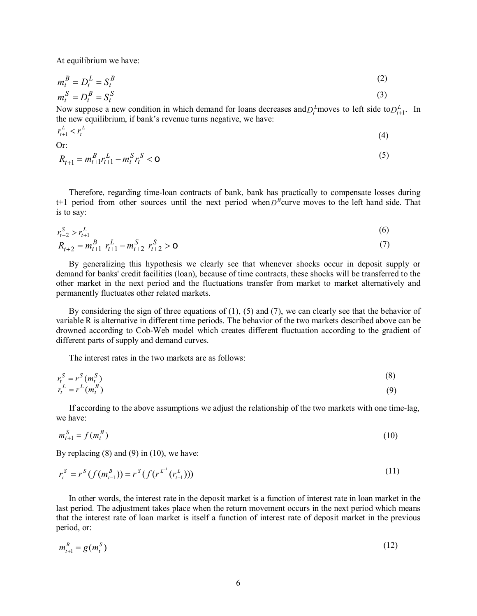At equilibrium we have:

$$
m_t^B = D_t^L = S_t^B \tag{2}
$$

$$
m_t^S = D_t^B = S_t^S
$$
 (3)

Now suppose a new condition in which demand for loans decreases and  $D_t^L$  moves to left side to  $D_{t+1}^L$ . In the new equilibrium, if bank's revenue turns negative, we have:

$$
r_{t+1}^L < r_t^L \tag{4}
$$

$$
O1
$$

Dr:  
\n
$$
R_{t+1} = m_{t+1}^{B} r_{t+1}^{L} - m_{t}^{S} r_{t}^{S} < \mathbf{0}
$$
\n(5)

 Therefore, regarding time-loan contracts of bank, bank has practically to compensate losses during  $t+1$  period from other sources until the next period when  $D^B$ curve moves to the left hand side. That is to say:

$$
r_{t+2}^{S} > r_{t+1}^{L}
$$
  
\n
$$
R_{t+2} = m_{t+1}^{B} r_{t+1}^{L} - m_{t+2}^{S} r_{t+2}^{S} > \mathbf{0}
$$
\n(6)

 By generalizing this hypothesis we clearly see that whenever shocks occur in deposit supply or demand for banks' credit facilities (loan), because of time contracts, these shocks will be transferred to the other market in the next period and the fluctuations transfer from market to market alternatively and permanently fluctuates other related markets.

 By considering the sign of three equations of (1), (5) and (7), we can clearly see that the behavior of variable R is alternative in different time periods. The behavior of the two markets described above can be drowned according to Cob-Web model which creates different fluctuation according to the gradient of different parts of supply and demand curves.

The interest rates in the two markets are as follows:

$$
r_t^S = r^S (m_t^S) \tag{8}
$$
  
\n
$$
r_t^L = r^L (m_t^B) \tag{9}
$$

 If according to the above assumptions we adjust the relationship of the two markets with one time-lag, we have:

$$
m_{t+1}^S = f(m_t^B)
$$
 (10)

By replacing  $(8)$  and  $(9)$  in  $(10)$ , we have:

$$
r_t^S = r^S(f(m_{t-1}^B)) = r^S(f(r^{L^{-1}}(r_{t-1}^L)))
$$
\n(11)

 In other words, the interest rate in the deposit market is a function of interest rate in loan market in the last period. The adjustment takes place when the return movement occurs in the next period which means that the interest rate of loan market is itself a function of interest rate of deposit market in the previous period, or:

$$
m_{t+1}^B = g(m_t^S) \tag{12}
$$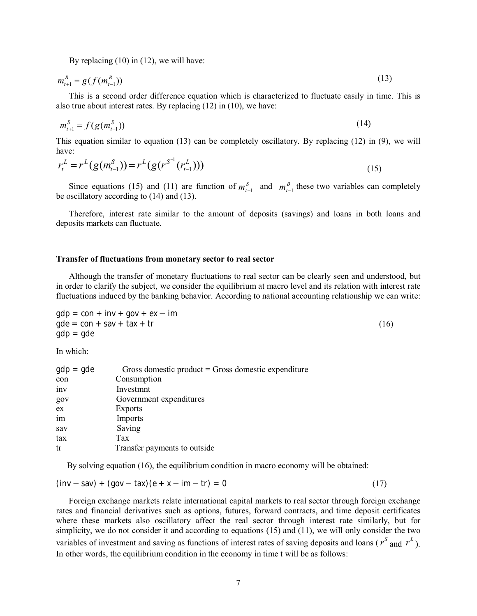By replacing (10) in (12), we will have:

$$
m_{t+1}^B = g(f(m_{t-1}^B))
$$
\n(13)

 This is a second order difference equation which is characterized to fluctuate easily in time. This is also true about interest rates. By replacing (12) in (10), we have:

$$
m_{t+1}^S = f(g(m_{t-1}^S))
$$
\n(14)

This equation similar to equation (13) can be completely oscillatory. By replacing (12) in (9), we will have:

$$
r_t^L = r^L(g(m_{t-1}^S)) = r^L(g(r^{S^{-1}}(r_{t-1}^L)))
$$
\n(15)

Since equations (15) and (11) are function of  $m_{t-1}^S$  and  $m_{t-1}^B$  these two variables can completely be oscillatory according to (14) and (13).

 Therefore, interest rate similar to the amount of deposits (savings) and loans in both loans and deposits markets can fluctuate.

#### **Transfer of fluctuations from monetary sector to real sector**

 Although the transfer of monetary fluctuations to real sector can be clearly seen and understood, but in order to clarify the subject, we consider the equilibrium at macro level and its relation with interest rate fluctuations induced by the banking behavior. According to national accounting relationship we can write:

$$
gdp = con + inv + gov + ex - imgde = con + sav + tax + tr
$$
 (16)  

$$
gdp = gde
$$

In which:

| $gdp = gde$ | Gross domestic product = Gross domestic expenditure |
|-------------|-----------------------------------------------------|
| con         | Consumption                                         |
| inv         | Investmnt                                           |
| gov         | Government expenditures                             |
| ex          | Exports                                             |
| im          | Imports                                             |
| sav         | Saving                                              |
| tax         | Tax                                                 |
| tr          | Transfer payments to outside                        |

By solving equation (16), the equilibrium condition in macro economy will be obtained:

$$
(\text{inv} - \text{sav}) + (\text{gov} - \text{tax})\left(e + x - \text{im} - \text{tr}\right) = 0\tag{17}
$$

 Foreign exchange markets relate international capital markets to real sector through foreign exchange rates and financial derivatives such as options, futures, forward contracts, and time deposit certificates where these markets also oscillatory affect the real sector through interest rate similarly, but for simplicity, we do not consider it and according to equations (15) and (11), we will only consider the two variables of investment and saving as functions of interest rates of saving deposits and loans ( $r^s$  and  $r^L$ ). In other words, the equilibrium condition in the economy in time t will be as follows: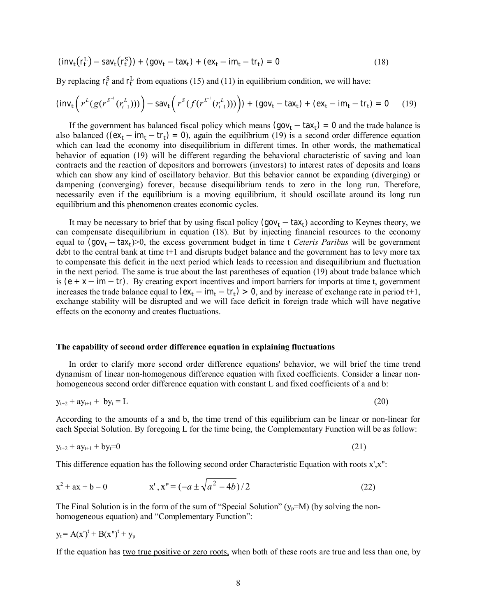$$
(\mathbf{inv}_t(\mathbf{r}_t^L) - \mathbf{sav}_t(\mathbf{r}_t^S)) + (\mathbf{gov}_t - \mathbf{tax}_t) + (\mathbf{ex}_t - \mathbf{im}_t - \mathbf{tr}_t) = \mathbf{0}
$$
\n(18)

By replacing  $\mathbf{r}_t^S$  and  $\mathbf{r}_t^L$  from equations (15) and (11) in equilibrium condition, we will have:

$$
(\text{inv}_{t}\left(r^{L}(g(r^{S^{-1}}(r_{t-1}^{L})))\right)-\text{sav}_{t}\left(r^{S}(f(r^{L^{-1}}(r_{t-1}^{L})))\right)+(\text{gov}_{t}-\text{tax}_{t})+(\text{ex}_{t}-\text{im}_{t}-\text{tr}_{t})=0
$$
 (19)

If the government has balanced fiscal policy which means  $(gov_t - tax_t) = 0$  and the trade balance is also balanced ( $(ex_t - im_t - tr_t) = 0$ ), again the equilibrium (19) is a second order difference equation which can lead the economy into disequilibrium in different times. In other words, the mathematical behavior of equation (19) will be different regarding the behavioral characteristic of saving and loan contracts and the reaction of depositors and borrowers (investors) to interest rates of deposits and loans which can show any kind of oscillatory behavior. But this behavior cannot be expanding (diverging) or dampening (converging) forever, because disequilibrium tends to zero in the long run. Therefore, necessarily even if the equilibrium is a moving equilibrium, it should oscillate around its long run equilibrium and this phenomenon creates economic cycles.

It may be necessary to brief that by using fiscal policy  $(gov_t - tax_t)$  according to Keynes theory, we can compensate disequilibrium in equation (18). But by injecting financial resources to the economy equal to (gov<sub>t</sub> – tax<sub>t</sub>)>0, the excess government budget in time t *Ceteris Paribus* will be government debt to the central bank at time t+1 and disrupts budget balance and the government has to levy more tax to compensate this deficit in the next period which leads to recession and disequilibrium and fluctuation in the next period. The same is true about the last parentheses of equation (19) about trade balance which is  $(e + x - im - tr)$ . By creating export incentives and import barriers for imports at time t, government increases the trade balance equal to  $(\mathbf{ex}_t - \mathbf{im}_t - \mathbf{tr}_t) > 0$ , and by increase of exchange rate in period t+1, exchange stability will be disrupted and we will face deficit in foreign trade which will have negative effects on the economy and creates fluctuations.

#### **The capability of second order difference equation in explaining fluctuations**

 In order to clarify more second order difference equations' behavior, we will brief the time trend dynamism of linear non-homogenous difference equation with fixed coefficients. Consider a linear nonhomogeneous second order difference equation with constant L and fixed coefficients of a and b:

$$
y_{t+2} + ay_{t+1} + by_t = L \tag{20}
$$

According to the amounts of a and b, the time trend of this equilibrium can be linear or non-linear for each Special Solution. By foregoing L for the time being, the Complementary Function will be as follow:

$$
y_{t+2} + ay_{t+1} + by_t = 0 \tag{21}
$$

This difference equation has the following second order Characteristic Equation with roots x',x":

$$
x^{2} + ax + b = 0 \qquad x', x'' = (-a \pm \sqrt{a^{2} - 4b})/2
$$
 (22)

The Final Solution is in the form of the sum of "Special Solution" ( $y_p=M$ ) (by solving the nonhomogeneous equation) and "Complementary Function":

$$
y_t = A(x')^t + B(x'')^t + y_p
$$

If the equation has two true positive or zero roots, when both of these roots are true and less than one, by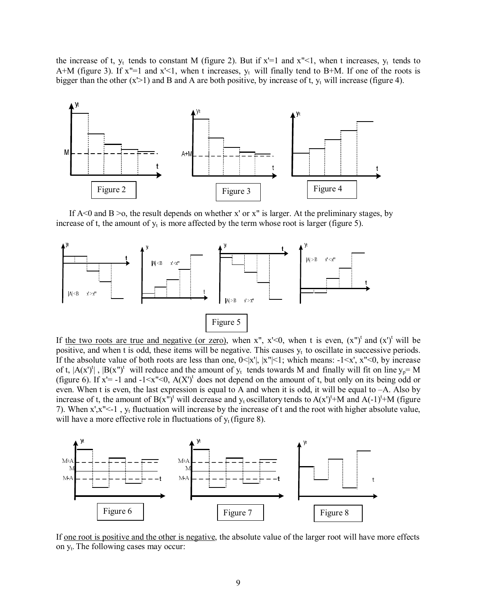the increase of t,  $y_t$  tends to constant M (figure 2). But if  $x'=1$  and  $x''<1$ , when t increases,  $y_t$  tends to A+M (figure 3). If  $x''=1$  and  $x' < 1$ , when t increases,  $y_t$  will finally tend to B+M. If one of the roots is bigger than the other  $(x>1)$  and B and A are both positive, by increase of t,  $y_t$  will increase (figure 4).



If  $A \le 0$  and  $B \ge 0$ , the result depends on whether x' or x" is larger. At the preliminary stages, by increase of t, the amount of  $y_t$  is more affected by the term whose root is larger (figure 5).



If the two roots are true and negative (or zero), when x", x'<0, when t is even,  $(x'')^t$  and  $(x')^t$  will be positive, and when t is odd, these items will be negative. This causes  $y_t$  to oscillate in successive periods. If the absolute value of both roots are less than one,  $0 \le |x'|$ ,  $|x''| \le 1$ ; which means:  $-1 \le x'$ ,  $x'' \le 0$ , by increase of t,  $|A(x')^t|$ ,  $|B(x'')^t$  will reduce and the amount of  $y_t$  tends towards M and finally will fit on line  $y_p = M$ (figure 6). If  $x'=$  -1 and -1  $\lt x''\lt 0$ ,  $A(X')^t$  does not depend on the amount of t, but only on its being odd or even. When t is even, the last expression is equal to A and when it is odd, it will be equal to –A. Also by increase of t, the amount of  $B(x'')^t$  will decrease and  $y_t$  oscillatory tends to  $A(x')^t$ +M and  $A(-1)^t$ +M (figure 7). When  $x$ ', $x$ ''<-1,  $y_t$  fluctuation will increase by the increase of t and the root with higher absolute value, will have a more effective role in fluctuations of  $y_t$  (figure 8).



If one root is positive and the other is negative, the absolute value of the larger root will have more effects on y<sup>t</sup> . The following cases may occur: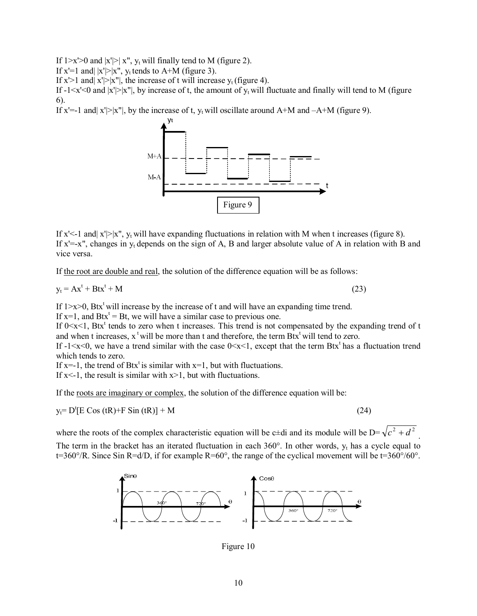If  $1 \ge x' \ge 0$  and  $|x'| \ge |x''|$ , y<sub>t</sub> will finally tend to M (figure 2).

If  $x'=1$  and  $|x'|>|x''|$ ,  $y_t$  tends to A+M (figure 3).

If  $x$ '>1 and  $x'$ |> $|x''|$ , the increase of t will increase  $y_t$  (figure 4).

If  $-1 \le x' \le 0$  and  $|x'| \ge |x''|$ , by increase of t, the amount of  $y_t$  will fluctuate and finally will tend to M (figure 6).

If x'=-1 and  $|x'|$  > |x''|, by the increase of t,  $y_t$  will oscillate around A+M and  $-A+M$  (figure 9).



If x'<-1 and  $x'$  |>|x",  $y_t$  will have expanding fluctuations in relation with M when t increases (figure 8). If  $x'=-x''$ , changes in  $y_t$  depends on the sign of A, B and larger absolute value of A in relation with B and vice versa.

If the root are double and real, the solution of the difference equation will be as follows:

$$
y_t = Ax^t + Btx^t + M
$$

 $+ M$  (23)

If  $1 \times 1 \times 10$ , Btx<sup>t</sup> will increase by the increase of t and will have an expanding time trend.

If  $x=1$ , and  $Btx<sup>t</sup> = Bt$ , we will have a similar case to previous one.

If  $0 \le x \le 1$ , Btx<sup>t</sup> tends to zero when t increases. This trend is not compensated by the expanding trend of t and when t increases,  $x^t$  will be more than t and therefore, the term  $Btx^t$  will tend to zero.

If  $-1 \le x \le 0$ , we have a trend similar with the case  $0 \le x \le 1$ , except that the term Btx<sup>t</sup> has a fluctuation trend which tends to zero.

If  $x=-1$ , the trend of Btx<sup>t</sup> is similar with  $x=1$ , but with fluctuations.

If  $x < -1$ , the result is similar with  $x > 1$ , but with fluctuations.

If the roots are imaginary or complex, the solution of the difference equation will be:

 $y_t = D^t [E \cos(tR) + F \sin(tR)] + M$  (24)

where the roots of the complex characteristic equation will be c±di and its module will be  $D=\sqrt{c^2+d^2}$ . The term in the bracket has an iterated fluctuation in each  $360^{\circ}$ . In other words,  $y_t$  has a cycle equal to  $t=360^{\circ}/R$ . Since Sin R=d/D, if for example R=60°, the range of the cyclical movement will be  $t=360^{\circ}/60^{\circ}$ .



Figure 10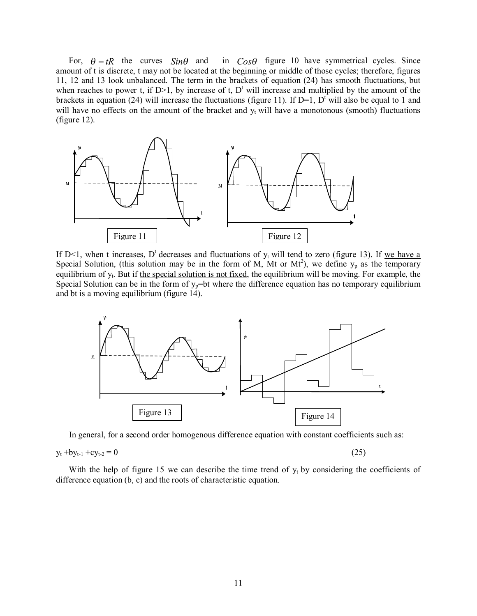For,  $\theta = tR$  the curves  $Sin\theta$  and in  $Cos\theta$  figure 10 have symmetrical cycles. Since amount of t is discrete, t may not be located at the beginning or middle of those cycles; therefore, figures 11, 12 and 13 look unbalanced. The term in the brackets of equation (24) has smooth fluctuations, but when reaches to power t, if  $D>1$ , by increase of t,  $D<sup>t</sup>$  will increase and multiplied by the amount of the brackets in equation (24) will increase the fluctuations (figure 11). If  $D=1$ ,  $D<sup>t</sup>$  will also be equal to 1 and will have no effects on the amount of the bracket and  $y_t$  will have a monotonous (smooth) fluctuations (figure 12).



If D<1, when t increases, D<sup>t</sup> decreases and fluctuations of  $y_t$  will tend to zero (figure 13). If we have a Special Solution, (this solution may be in the form of M, Mt or Mt<sup>2</sup>), we define  $y_p$  as the temporary equilibrium of y<sub>t</sub>. But if the special solution is not fixed, the equilibrium will be moving. For example, the Special Solution can be in the form of  $y_p$ =bt where the difference equation has no temporary equilibrium and bt is a moving equilibrium (figure 14).



In general, for a second order homogenous difference equation with constant coefficients such as:

$$
y_t + by_{t-1} + cy_{t-2} = 0 \tag{25}
$$

With the help of figure 15 we can describe the time trend of  $y_t$  by considering the coefficients of difference equation (b, c) and the roots of characteristic equation.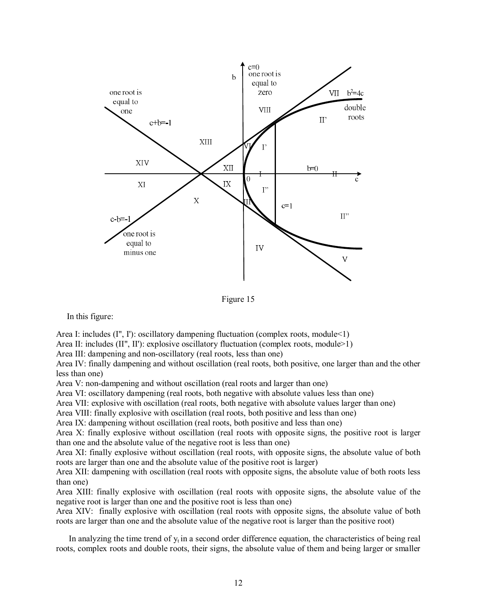

Figure 15

In this figure:

Area I: includes (I", I'): oscillatory dampening fluctuation (complex roots, module<1)

Area II: includes  $(II^{\prime\prime}, II^{\prime})$ : explosive oscillatory fluctuation (complex roots, module>1)

Area III: dampening and non-oscillatory (real roots, less than one)

Area IV: finally dampening and without oscillation (real roots, both positive, one larger than and the other less than one)

Area V: non-dampening and without oscillation (real roots and larger than one)

Area VI: oscillatory dampening (real roots, both negative with absolute values less than one)

Area VII: explosive with oscillation (real roots, both negative with absolute values larger than one)

Area VIII: finally explosive with oscillation (real roots, both positive and less than one)

Area IX: dampening without oscillation (real roots, both positive and less than one)

Area X: finally explosive without oscillation (real roots with opposite signs, the positive root is larger than one and the absolute value of the negative root is less than one)

Area XI: finally explosive without oscillation (real roots, with opposite signs, the absolute value of both roots are larger than one and the absolute value of the positive root is larger)

Area XII: dampening with oscillation (real roots with opposite signs, the absolute value of both roots less than one)

Area XIII: finally explosive with oscillation (real roots with opposite signs, the absolute value of the negative root is larger than one and the positive root is less than one)

Area XIV: finally explosive with oscillation (real roots with opposite signs, the absolute value of both roots are larger than one and the absolute value of the negative root is larger than the positive root)

In analyzing the time trend of  $y_t$  in a second order difference equation, the characteristics of being real roots, complex roots and double roots, their signs, the absolute value of them and being larger or smaller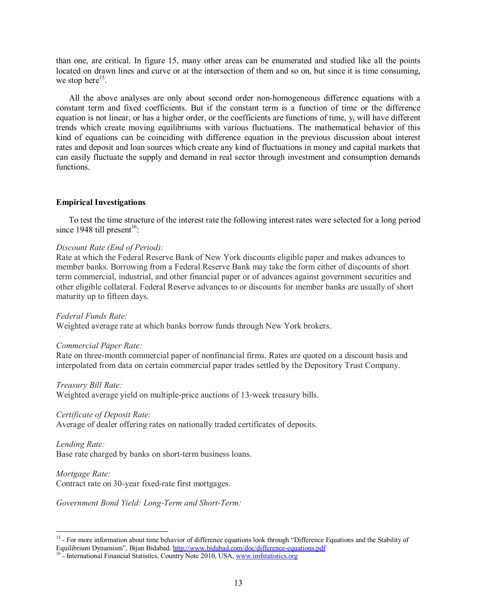than one, are critical. In figure 15, many other areas can be enumerated and studied like all the points located on drawn lines and curve or at the intersection of them and so on, but since it is time consuming, we stop here $^{15}$ .

 All the above analyses are only about second order non-homogeneous difference equations with a constant term and fixed coefficients. But if the constant term is a function of time or the difference equation is not linear, or has a higher order, or the coefficients are functions of time,  $y_t$  will have different trends which create moving equilibriums with various fluctuations. The mathematical behavior of this kind of equations can be coinciding with difference equation in the previous discussion about interest rates and deposit and loan sources which create any kind of fluctuations in money and capital markets that can easily fluctuate the supply and demand in real sector through investment and consumption demands functions.

## **Empirical Investigations**

 To test the time structure of the interest rate the following interest rates were selected for a long period since 1948 till present<sup>16</sup>:

## *Discount Rate (End of Period):*

Rate at which the Federal Reserve Bank of New York discounts eligible paper and makes advances to member banks. Borrowing from a Federal Reserve Bank may take the form either of discounts of short term commercial, industrial, and other financial paper or of advances against government securities and other eligible collateral. Federal Reserve advances to or discounts for member banks are usually of short maturity up to fifteen days.

*Federal Funds Rate:* 

Weighted average rate at which banks borrow funds through New York brokers.

#### *Commercial Paper Rate:*

Rate on three-month commercial paper of nonfinancial firms. Rates are quoted on a discount basis and interpolated from data on certain commercial paper trades settled by the Depository Trust Company.

#### *Treasury Bill Rate:*

Weighted average yield on multiple-price auctions of 13-week treasury bills.

#### *Certificate of Deposit Rate:*

Average of dealer offering rates on nationally traded certificates of deposits.

*Lending Rate:*  Base rate charged by banks on short-term business loans.

# *Mortgage Rate:*

Contract rate on 30-year fixed-rate first mortgages.

*Government Bond Yield: Long-Term and Short-Term:* 

<sup>&</sup>lt;sup>15</sup> - For more information about time behavior of difference equations look through "Difference Equations and the Stability of Equilibrium Dynamism", Bijan Bidabad.<http://www.bidabad.com/doc/difference-equations.pdf>

<sup>&</sup>lt;sup>16</sup> - International Financial Statistics, Country Note 2010, USA, [www.imfstatistics.org](http://www.imfstatistics.org)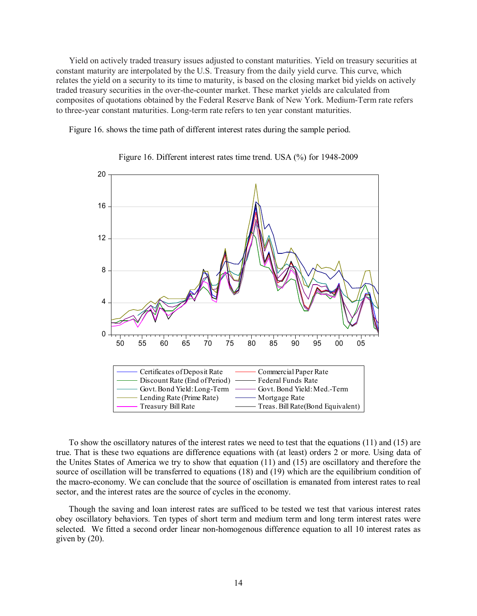Yield on actively traded treasury issues adjusted to constant maturities. Yield on treasury securities at constant maturity are interpolated by the U.S. Treasury from the daily yield curve. This curve, which relates the yield on a security to its time to maturity, is based on the closing market bid yields on actively traded treasury securities in the over-the-counter market. These market yields are calculated from composites of quotations obtained by the Federal Reserve Bank of New York. Medium-Term rate refers to three-year constant maturities. Long-term rate refers to ten year constant maturities.

Figure 16. shows the time path of different interest rates during the sample period.



Figure 16. Different interest rates time trend. USA (%) for 1948-2009

 To show the oscillatory natures of the interest rates we need to test that the equations (11) and (15) are true. That is these two equations are difference equations with (at least) orders 2 or more. Using data of the Unites States of America we try to show that equation (11) and (15) are oscillatory and therefore the source of oscillation will be transferred to equations (18) and (19) which are the equilibrium condition of the macro-economy. We can conclude that the source of oscillation is emanated from interest rates to real sector, and the interest rates are the source of cycles in the economy.

 Though the saving and loan interest rates are sufficed to be tested we test that various interest rates obey oscillatory behaviors. Ten types of short term and medium term and long term interest rates were selected. We fitted a second order linear non-homogenous difference equation to all 10 interest rates as given by (20).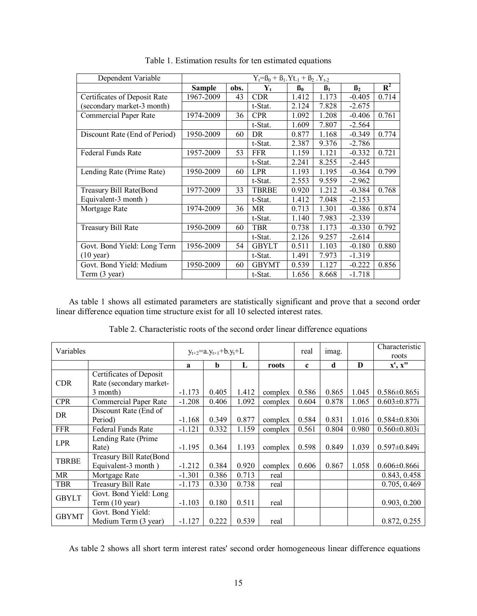| Dependent Variable            | $Y_t = B_0 + B_1.Yt_{-1} + B_2.Y_{t-2}$ |      |                           |                |                |           |                |
|-------------------------------|-----------------------------------------|------|---------------------------|----------------|----------------|-----------|----------------|
|                               | Sample                                  | obs. | $\mathbf{Y}_{\mathbf{t}}$ | $\mathbf{B}_0$ | $\mathbf{B}_1$ | $\beta_2$ | $\mathbf{R}^2$ |
| Certificates of Deposit Rate  | 1967-2009                               | 43   | <b>CDR</b>                | 1.412          | 1.173          | $-0.405$  | 0.714          |
| (secondary market-3 month)    |                                         |      | t-Stat.                   | 2.124          | 7.828          | $-2.675$  |                |
| <b>Commercial Paper Rate</b>  | 1974-2009                               | 36   | <b>CPR</b>                | 1.092          | 1.208          | $-0.406$  | 0.761          |
|                               |                                         |      | t-Stat.                   | 1.609          | 7.807          | $-2.564$  |                |
| Discount Rate (End of Period) | 1950-2009                               | 60   | DR.                       | 0.877          | 1.168          | $-0.349$  | 0.774          |
|                               |                                         |      | t-Stat.                   | 2.387          | 9.376          | $-2.786$  |                |
| Federal Funds Rate            | 1957-2009                               | 53   | <b>FFR</b>                | 1.159          | 1.121          | $-0.332$  | 0.721          |
|                               |                                         |      | t-Stat.                   | 2.241          | 8.255          | $-2.445$  |                |
| Lending Rate (Prime Rate)     | 1950-2009                               | 60   | <b>LPR</b>                | 1.193          | 1.195          | $-0.364$  | 0.799          |
|                               |                                         |      | t-Stat.                   | 2.553          | 9.559          | $-2.962$  |                |
| Treasury Bill Rate(Bond       | 1977-2009                               | 33   | <b>TBRBE</b>              | 0.920          | 1.212          | $-0.384$  | 0.768          |
| Equivalent-3 month)           |                                         |      | t-Stat.                   | 1.412          | 7.048          | $-2.153$  |                |
| Mortgage Rate                 | 1974-2009                               | 36   | MR                        | 0.713          | 1.301          | $-0.386$  | 0.874          |
|                               |                                         |      | t-Stat.                   | 1.140          | 7.983          | $-2.339$  |                |
| Treasury Bill Rate            | 1950-2009                               | 60   | <b>TBR</b>                | 0.738          | 1.173          | $-0.330$  | 0.792          |
|                               |                                         |      | t-Stat.                   | 2.126          | 9.257          | $-2.614$  |                |
| Govt. Bond Yield: Long Term   | 1956-2009                               | 54   | <b>GBYLT</b>              | 0.511          | 1.103          | $-0.180$  | 0.880          |
| $(10 \text{ year})$           |                                         |      | t-Stat.                   | 1.491          | 7.973          | $-1.319$  |                |
| Govt. Bond Yield: Medium      | 1950-2009                               | 60   | <b>GBYMT</b>              | 0.539          | 1.127          | $-0.222$  | 0.856          |
| Term (3 year)                 |                                         |      | t-Stat.                   | 1.656          | 8.668          | $-1.718$  |                |

Table 1. Estimation results for ten estimated equations

 As table 1 shows all estimated parameters are statistically significant and prove that a second order linear difference equation time structure exist for all 10 selected interest rates.

Table 2. Characteristic roots of the second order linear difference equations

| Variables    |                                                    |          | $y_{t+2} = a \cdot y_{t+1} + b \cdot y_t + L$ |       |         | real        | imag. |          | Characteristic<br>roots |
|--------------|----------------------------------------------------|----------|-----------------------------------------------|-------|---------|-------------|-------|----------|-------------------------|
|              |                                                    | a        | b                                             | L     | roots   | $\mathbf c$ | d     | $\bf{D}$ | x', x"                  |
| <b>CDR</b>   | Certificates of Deposit<br>Rate (secondary market- |          |                                               |       |         |             |       |          |                         |
|              | 3 month)                                           | $-1.173$ | 0.405                                         | 1.412 | complex | 0.586       | 0.865 | 1.045    | $0.586 \pm 0.865i$      |
| <b>CPR</b>   | Commercial Paper Rate                              | $-1.208$ | 0.406                                         | 1.092 | complex | 0.604       | 0.878 | 1.065    | $0.603 \pm 0.877$ i     |
| DR           | Discount Rate (End of<br>Period)                   | $-1.168$ | 0.349                                         | 0.877 | complex | 0.584       | 0.831 | 1.016    | $0.584 \pm 0.830$ i     |
| <b>FFR</b>   | Federal Funds Rate                                 | $-1.121$ | 0.332                                         | 1.159 | complex | 0.561       | 0.804 | 0.980    | $0.560 \pm 0.803i$      |
| <b>LPR</b>   | Lending Rate (Prime)<br>Rate)                      | $-1.195$ | 0.364                                         | 1.193 | complex | 0.598       | 0.849 | 1.039    | $0.597 \pm 0.849i$      |
| <b>TBRBE</b> | Treasury Bill Rate(Bond<br>Equivalent-3 month)     | $-1.212$ | 0.384                                         | 0.920 | complex | 0.606       | 0.867 | 1.058    | $0.606 \pm 0.866i$      |
| MR           | Mortgage Rate                                      | $-1.301$ | 0.386                                         | 0.713 | real    |             |       |          | 0.843, 0.458            |
| <b>TBR</b>   | Treasury Bill Rate                                 | $-1.173$ | 0.330                                         | 0.738 | real    |             |       |          | 0.705, 0.469            |
| <b>GBYLT</b> | Govt. Bond Yield: Long<br>Term (10 year)           | $-1.103$ | 0.180                                         | 0.511 | real    |             |       |          | 0.903, 0.200            |
| <b>GBYMT</b> | Govt. Bond Yield:<br>Medium Term (3 year)          | $-1.127$ | 0.222                                         | 0.539 | real    |             |       |          | 0.872, 0.255            |

As table 2 shows all short term interest rates' second order homogeneous linear difference equations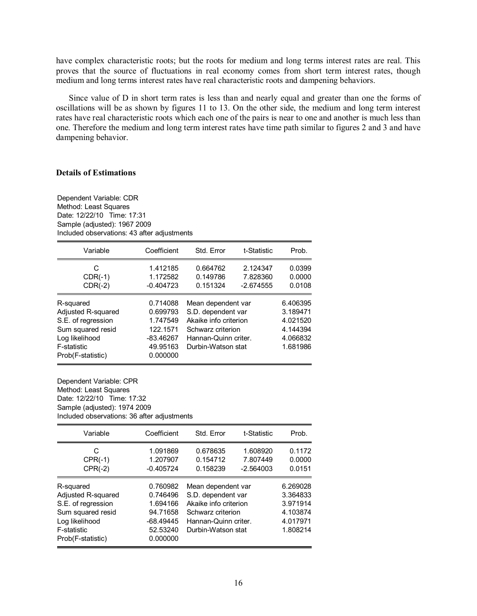have complex characteristic roots; but the roots for medium and long terms interest rates are real. This proves that the source of fluctuations in real economy comes from short term interest rates, though medium and long terms interest rates have real characteristic roots and dampening behaviors.

 Since value of D in short term rates is less than and nearly equal and greater than one the forms of oscillations will be as shown by figures 11 to 13. On the other side, the medium and long term interest rates have real characteristic roots which each one of the pairs is near to one and another is much less than one. Therefore the medium and long term interest rates have time path similar to figures 2 and 3 and have dampening behavior.

## **Details of Estimations**

| Dependent Variable: CDR                     |  |  |  |  |  |  |
|---------------------------------------------|--|--|--|--|--|--|
| Method: Least Squares                       |  |  |  |  |  |  |
| Date: 12/22/10 Time: 17:31                  |  |  |  |  |  |  |
| Sample (adjusted): 1967 2009                |  |  |  |  |  |  |
| Included observations: 43 after adjustments |  |  |  |  |  |  |

| Variable                                                                                                                         | Coefficient                                                                         | Std. Error                                                                                                                           | t-Statistic                         | Prob.                                                                |
|----------------------------------------------------------------------------------------------------------------------------------|-------------------------------------------------------------------------------------|--------------------------------------------------------------------------------------------------------------------------------------|-------------------------------------|----------------------------------------------------------------------|
| C<br>$CDR(-1)$<br>$CDR(-2)$                                                                                                      | 1.412185<br>1.172582<br>$-0.404723$                                                 | 0.664762<br>0.149786<br>0.151324                                                                                                     | 2.124347<br>7.828360<br>$-2.674555$ | 0.0399<br>0.0000<br>0.0108                                           |
| R-squared<br>Adjusted R-squared<br>S.E. of regression<br>Sum squared resid<br>Log likelihood<br>F-statistic<br>Prob(F-statistic) | 0.714088<br>0.699793<br>1.747549<br>122.1571<br>$-83.46267$<br>49.95163<br>0.000000 | Mean dependent var<br>S.D. dependent var<br>Akaike info criterion<br>Schwarz criterion<br>Hannan-Quinn criter.<br>Durbin-Watson stat |                                     | 6.406395<br>3.189471<br>4.021520<br>4.144394<br>4.066832<br>1.681986 |

Dependent Variable: CPR Method: Least Squares Date: 12/22/10 Time: 17:32 Sample (adjusted): 1974 2009 Included observations: 36 after adjustments

| Variable                                                                                                                         | Coefficient                                                                         | Std. Error                                                                                                                           | t-Statistic                         | Prob.                                                                |
|----------------------------------------------------------------------------------------------------------------------------------|-------------------------------------------------------------------------------------|--------------------------------------------------------------------------------------------------------------------------------------|-------------------------------------|----------------------------------------------------------------------|
| C<br>$CPR(-1)$<br>$CPR(-2)$                                                                                                      | 1.091869<br>1.207907<br>$-0.405724$                                                 | 0.678635<br>0.154712<br>0.158239                                                                                                     | 1.608920<br>7.807449<br>$-2.564003$ | 0.1172<br>0.0000<br>0.0151                                           |
| R-squared<br>Adjusted R-squared<br>S.E. of regression<br>Sum squared resid<br>Log likelihood<br>F-statistic<br>Prob(F-statistic) | 0.760982<br>0.746496<br>1.694166<br>94.71658<br>$-68.49445$<br>52.53240<br>0.000000 | Mean dependent var<br>S.D. dependent var<br>Akaike info criterion<br>Schwarz criterion<br>Hannan-Quinn criter.<br>Durbin-Watson stat |                                     | 6.269028<br>3.364833<br>3.971914<br>4.103874<br>4.017971<br>1.808214 |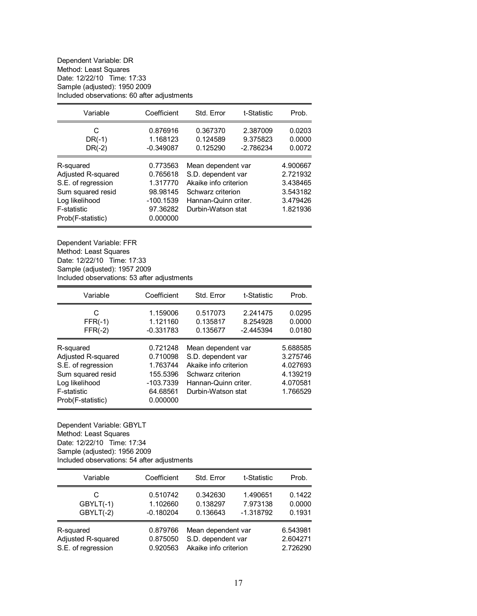Dependent Variable: DR Method: Least Squares Date: 12/22/10 Time: 17:33 Sample (adjusted): 1950 2009 Included observations: 60 after adjustments

| Variable                                                                                                                         | Coefficient                                                                         | Std. Error                                                                                                                           | t-Statistic                         | Prob.                                                                |
|----------------------------------------------------------------------------------------------------------------------------------|-------------------------------------------------------------------------------------|--------------------------------------------------------------------------------------------------------------------------------------|-------------------------------------|----------------------------------------------------------------------|
| C<br>$DR(-1)$<br>$DR(-2)$                                                                                                        | 0.876916<br>1.168123<br>$-0.349087$                                                 | 0.367370<br>0.124589<br>0.125290                                                                                                     | 2.387009<br>9.375823<br>$-2.786234$ | 0.0203<br>0.0000<br>0.0072                                           |
| R-squared<br>Adjusted R-squared<br>S.E. of regression<br>Sum squared resid<br>Log likelihood<br>F-statistic<br>Prob(F-statistic) | 0.773563<br>0.765618<br>1.317770<br>98.98145<br>$-100.1539$<br>97.36282<br>0.000000 | Mean dependent var<br>S.D. dependent var<br>Akaike info criterion<br>Schwarz criterion<br>Hannan-Quinn criter.<br>Durbin-Watson stat |                                     | 4.900667<br>2.721932<br>3.438465<br>3.543182<br>3.479426<br>1.821936 |

Dependent Variable: FFR Method: Least Squares Date: 12/22/10 Time: 17:33 Sample (adjusted): 1957 2009 Included observations: 53 after adjustments

| Variable                                                                                                                                | Coefficient                                                                         | Std. Error                                                                                                                           | t-Statistic                         | Prob.                                                                |
|-----------------------------------------------------------------------------------------------------------------------------------------|-------------------------------------------------------------------------------------|--------------------------------------------------------------------------------------------------------------------------------------|-------------------------------------|----------------------------------------------------------------------|
| C<br>$FFR(-1)$<br>$FFR(-2)$                                                                                                             | 1.159006<br>1.121160<br>$-0.331783$                                                 | 0.517073<br>0.135817<br>0.135677                                                                                                     | 2.241475<br>8.254928<br>$-2.445394$ | 0.0295<br>0.0000<br>0.0180                                           |
| R-squared<br>Adjusted R-squared<br>S.E. of regression<br>Sum squared resid<br>Log likelihood<br><b>F-statistic</b><br>Prob(F-statistic) | 0.721248<br>0.710098<br>1.763744<br>155.5396<br>$-103.7339$<br>64.68561<br>0.000000 | Mean dependent var<br>S.D. dependent var<br>Akaike info criterion<br>Schwarz criterion<br>Hannan-Quinn criter.<br>Durbin-Watson stat |                                     | 5.688585<br>3.275746<br>4.027693<br>4.139219<br>4.070581<br>1.766529 |

Dependent Variable: GBYLT Method: Least Squares Date: 12/22/10 Time: 17:34 Sample (adjusted): 1956 2009 Included observations: 54 after adjustments

| Variable           | Coefficient | Std. Error            | t-Statistic | Prob.    |
|--------------------|-------------|-----------------------|-------------|----------|
| C                  | 0.510742    | 0.342630              | 1.490651    | 0.1422   |
| $GBYLT(-1)$        | 1.102660    | 0.138297              | 7.973138    | 0.0000   |
| GBYLT(-2)          | $-0.180204$ | 0.136643              | $-1.318792$ | 0.1931   |
| R-squared          | 0.879766    | Mean dependent var    |             | 6.543981 |
| Adjusted R-squared | 0.875050    | S.D. dependent var    |             | 2.604271 |
| S.E. of regression | 0.920563    | Akaike info criterion |             | 2.726290 |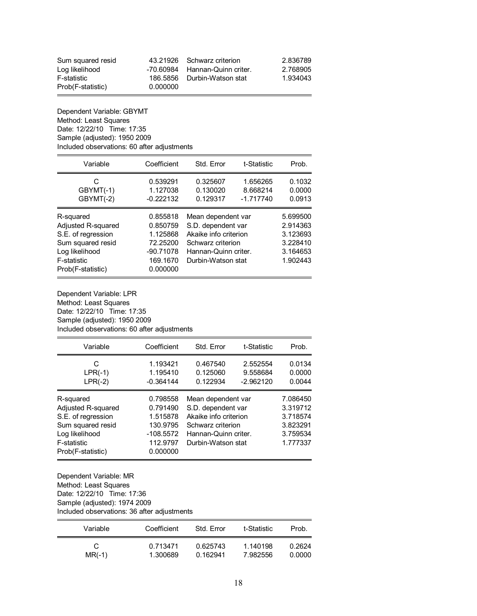| Sum squared resid |          | 43.21926 Schwarz criterion     | 2.836789 |
|-------------------|----------|--------------------------------|----------|
| Log likelihood    |          | -70.60984 Hannan-Quinn criter. | 2.768905 |
| F-statistic       |          | 186,5856 Durbin-Watson stat    | 1.934043 |
| Prob(F-statistic) | 0.000000 |                                |          |

Dependent Variable: GBYMT Method: Least Squares Date: 12/22/10 Time: 17:35 Sample (adjusted): 1950 2009 Included observations: 60 after adjustments

| Variable                                                                                                                         | Coefficient                                                                         | Std. Error                                                                                                                           | t-Statistic                         | Prob.                                                                |
|----------------------------------------------------------------------------------------------------------------------------------|-------------------------------------------------------------------------------------|--------------------------------------------------------------------------------------------------------------------------------------|-------------------------------------|----------------------------------------------------------------------|
| C<br>GBYMT(-1)<br>GBYMT(-2)                                                                                                      | 0.539291<br>1.127038<br>$-0.222132$                                                 | 0.325607<br>0.130020<br>0.129317                                                                                                     | 1.656265<br>8.668214<br>$-1.717740$ | 0.1032<br>0.0000<br>0.0913                                           |
| R-squared<br>Adjusted R-squared<br>S.E. of regression<br>Sum squared resid<br>Log likelihood<br>F-statistic<br>Prob(F-statistic) | 0.855818<br>0.850759<br>1.125868<br>72.25200<br>$-90.71078$<br>169.1670<br>0.000000 | Mean dependent var<br>S.D. dependent var<br>Akaike info criterion<br>Schwarz criterion<br>Hannan-Quinn criter.<br>Durbin-Watson stat |                                     | 5.699500<br>2.914363<br>3.123693<br>3.228410<br>3.164653<br>1.902443 |

Dependent Variable: LPR Method: Least Squares Date: 12/22/10 Time: 17:35 Sample (adjusted): 1950 2009 Included observations: 60 after adjustments

| Variable                                                                                                                         | Coefficient                                                                         | Std. Error                                                                                                                           | t-Statistic                         | Prob.                                                                |
|----------------------------------------------------------------------------------------------------------------------------------|-------------------------------------------------------------------------------------|--------------------------------------------------------------------------------------------------------------------------------------|-------------------------------------|----------------------------------------------------------------------|
| C<br>$LPR(-1)$<br>$LPR(-2)$                                                                                                      | 1.193421<br>1.195410<br>$-0.364144$                                                 | 0.467540<br>0.125060<br>0.122934                                                                                                     | 2.552554<br>9.558684<br>$-2.962120$ | 0.0134<br>0.0000<br>0.0044                                           |
| R-squared<br>Adjusted R-squared<br>S.E. of regression<br>Sum squared resid<br>Log likelihood<br>F-statistic<br>Prob(F-statistic) | 0.798558<br>0.791490<br>1.515878<br>130.9795<br>$-108.5572$<br>112.9797<br>0.000000 | Mean dependent var<br>S.D. dependent var<br>Akaike info criterion<br>Schwarz criterion<br>Hannan-Quinn criter.<br>Durbin-Watson stat |                                     | 7.086450<br>3.319712<br>3.718574<br>3.823291<br>3.759534<br>1.777337 |

Dependent Variable: MR Method: Least Squares Date: 12/22/10 Time: 17:36 Sample (adjusted): 1974 2009 Included observations: 36 after adjustments

| Variable | Coefficient | Std. Frror | t-Statistic | Prob.  |
|----------|-------------|------------|-------------|--------|
| C        | 0.713471    | 0.625743   | 1.140198    | 0.2624 |
| $MR(-1)$ | 1.300689    | 0.162941   | 7.982556    | 0.0000 |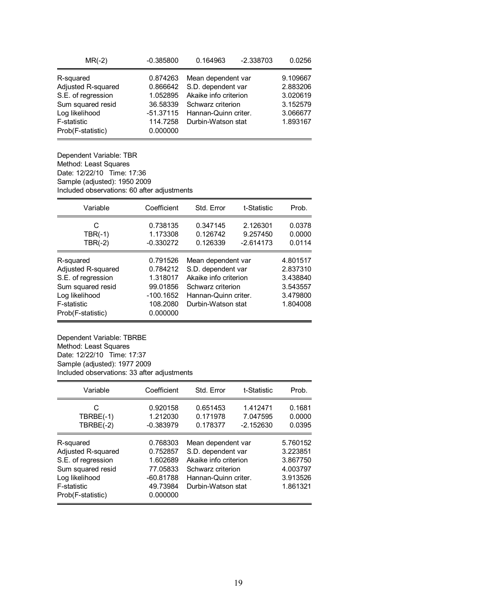| $MR(-2)$           | $-0.385800$ | 0.164963              | $-2.338703$ | 0.0256   |
|--------------------|-------------|-----------------------|-------------|----------|
| R-squared          | 0.874263    | Mean dependent var    |             | 9.109667 |
| Adjusted R-squared | 0.866642    | S.D. dependent var    |             | 2.883206 |
| S.E. of regression | 1.052895    | Akaike info criterion | 3.020619    |          |
| Sum squared resid  | 36.58339    | Schwarz criterion     | 3.152579    |          |
| Log likelihood     | $-51.37115$ | Hannan-Quinn criter.  |             | 3.066677 |
| F-statistic        | 114.7258    | Durbin-Watson stat    |             | 1.893167 |
| Prob(F-statistic)  | 0.000000    |                       |             |          |

Dependent Variable: TBR Method: Least Squares Date: 12/22/10 Time: 17:36 Sample (adjusted): 1950 2009 Included observations: 60 after adjustments

| Variable                                                                                                                         | Coefficient                                                                         | Std. Error                                                                                                                           | t-Statistic                         | Prob.                                                                |
|----------------------------------------------------------------------------------------------------------------------------------|-------------------------------------------------------------------------------------|--------------------------------------------------------------------------------------------------------------------------------------|-------------------------------------|----------------------------------------------------------------------|
| C<br>$TBR(-1)$<br>$TBR(-2)$                                                                                                      | 0.738135<br>1.173308<br>$-0.330272$                                                 | 0.347145<br>0.126742<br>0.126339                                                                                                     | 2.126301<br>9.257450<br>$-2.614173$ | 0.0378<br>0.0000<br>0.0114                                           |
| R-squared<br>Adjusted R-squared<br>S.E. of regression<br>Sum squared resid<br>Log likelihood<br>F-statistic<br>Prob(F-statistic) | 0.791526<br>0.784212<br>1.318017<br>99.01856<br>$-100.1652$<br>108.2080<br>0.000000 | Mean dependent var<br>S.D. dependent var<br>Akaike info criterion<br>Schwarz criterion<br>Hannan-Quinn criter.<br>Durbin-Watson stat |                                     | 4.801517<br>2.837310<br>3.438840<br>3.543557<br>3.479800<br>1.804008 |

Dependent Variable: TBRBE Method: Least Squares Date: 12/22/10 Time: 17:37 Sample (adjusted): 1977 2009 Included observations: 33 after adjustments

| Variable                                                                                                                         | Coefficient                                                                         | Std. Error                                                                                                                           | t-Statistic                         | Prob.                                                                |
|----------------------------------------------------------------------------------------------------------------------------------|-------------------------------------------------------------------------------------|--------------------------------------------------------------------------------------------------------------------------------------|-------------------------------------|----------------------------------------------------------------------|
| C<br>$TBRBE(-1)$<br>$TBRBE(-2)$                                                                                                  | 0.920158<br>1.212030<br>$-0.383979$                                                 | 0.651453<br>0.171978<br>0.178377                                                                                                     | 1.412471<br>7.047595<br>$-2.152630$ | 0.1681<br>0.0000<br>0.0395                                           |
| R-squared<br>Adjusted R-squared<br>S.E. of regression<br>Sum squared resid<br>Log likelihood<br>F-statistic<br>Prob(F-statistic) | 0.768303<br>0.752857<br>1.602689<br>77.05833<br>$-60.81788$<br>49.73984<br>0.000000 | Mean dependent var<br>S.D. dependent var<br>Akaike info criterion<br>Schwarz criterion<br>Hannan-Quinn criter.<br>Durbin-Watson stat |                                     | 5.760152<br>3.223851<br>3.867750<br>4.003797<br>3.913526<br>1.861321 |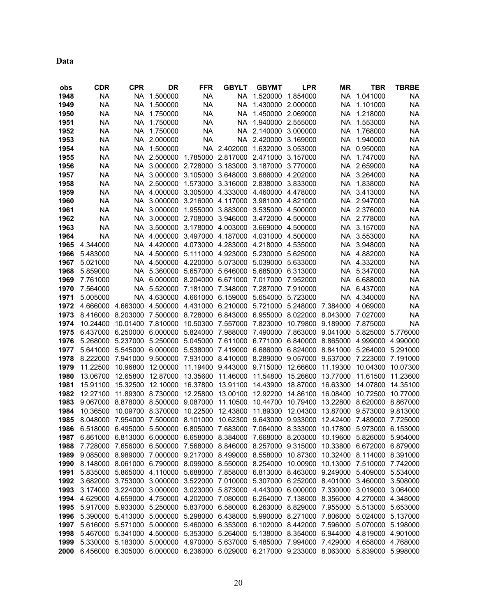**Data** 

| obs  | <b>CDR</b>                                                                                     | <b>CPR</b>                                                                                | DR                | <b>FFR</b>        | <b>GBYLT</b>                                                   | <b>GBYMT</b>      | <b>LPR</b>                                   | ΜR                         | TBR               | <b>TBRBE</b> |
|------|------------------------------------------------------------------------------------------------|-------------------------------------------------------------------------------------------|-------------------|-------------------|----------------------------------------------------------------|-------------------|----------------------------------------------|----------------------------|-------------------|--------------|
| 1948 | <b>NA</b>                                                                                      | NA                                                                                        | 1.500000          | <b>NA</b>         | NA                                                             | 1.520000          | 1.854000                                     | NA                         | 1.041000          | NA           |
| 1949 | <b>NA</b>                                                                                      | NA                                                                                        | 1.500000          | <b>NA</b>         | <b>NA</b>                                                      |                   | 1.430000 2.000000                            | NA                         | 1.101000          | <b>NA</b>    |
| 1950 | NA                                                                                             | NA                                                                                        | 1.750000          | <b>NA</b>         | NA                                                             |                   | 1.450000 2.069000                            | NA.                        | 1.218000          | NA           |
| 1951 | NA                                                                                             | NA.                                                                                       | 1.750000          | <b>NA</b>         | NA                                                             | 1.940000 2.555000 |                                              | NA                         | 1.553000          | <b>NA</b>    |
| 1952 | <b>NA</b>                                                                                      | NA                                                                                        | 1.750000          | <b>NA</b>         | <b>NA</b>                                                      | 2.140000 3.000000 |                                              | <b>NA</b>                  | 1.768000          | <b>NA</b>    |
| 1953 | <b>NA</b>                                                                                      | NA.                                                                                       | 2.000000          | <b>NA</b>         | <b>NA</b>                                                      | 2.420000          | 3.169000                                     | <b>NA</b>                  | 1.940000          | <b>NA</b>    |
| 1954 | <b>NA</b>                                                                                      | NA                                                                                        | 1.500000          |                   | NA 2.402000                                                    | 1.632000          | 3.053000                                     | NA                         | 0.950000          | NA           |
| 1955 | ΝA                                                                                             | NA.                                                                                       | 2.500000          | 1.785000          | 2.817000                                                       | 2.471000          | 3.157000                                     | NA.                        | 1.747000          | <b>NA</b>    |
| 1956 | NA                                                                                             | NA                                                                                        | 3.000000          | 2.728000          | 3.183000                                                       | 3.187000          | 3.770000                                     | NA .                       | 2.659000          | NA           |
| 1957 | NA                                                                                             | NA                                                                                        | 3.000000          | 3.105000 3.648000 |                                                                | 3.686000 4.202000 |                                              |                            | NA 3.264000       | <b>NA</b>    |
| 1958 | NA                                                                                             |                                                                                           | NA 2.500000       | 1.573000          | 3.316000                                                       | 2.838000          | 3.833000                                     | NA.                        | 1.838000          | NA           |
| 1959 | NA                                                                                             | NA.                                                                                       | 4.000000          | 3.305000          | 4.333000                                                       | 4.460000 4.478000 |                                              | NA.                        | 3.413000          | ΝA           |
| 1960 | <b>NA</b>                                                                                      | NA                                                                                        | 3.000000          |                   | 3.216000 4.117000                                              | 3.981000 4.821000 |                                              | NA.                        | 2.947000          | <b>NA</b>    |
| 1961 | <b>NA</b>                                                                                      | NA                                                                                        | 3.000000          | 1.955000 3.883000 |                                                                |                   | 3.535000 4.500000                            |                            | NA 2.376000       | <b>NA</b>    |
| 1962 | <b>NA</b>                                                                                      | NA                                                                                        | 3.000000          |                   | 2.708000 3.946000                                              | 3.472000 4.500000 |                                              |                            | NA 2.778000       | <b>NA</b>    |
| 1963 | <b>NA</b>                                                                                      | NA                                                                                        | 3.500000          | 3.178000 4.003000 |                                                                | 3.669000 4.500000 |                                              |                            | NA 3.157000       | NA           |
| 1964 | <b>NA</b>                                                                                      |                                                                                           | NA 4.000000       |                   | 3.497000 4.187000                                              | 4.031000 4.500000 |                                              |                            | NA 3.553000       | NA           |
| 1965 | 4.344000                                                                                       | NA                                                                                        | 4.420000          |                   | 4.073000 4.283000 4.218000 4.535000                            |                   |                                              |                            | NA 3.948000       | <b>NA</b>    |
| 1966 | 5.483000                                                                                       | NA                                                                                        | 4.500000          |                   | 5.111000 4.923000                                              | 5.230000 5.625000 |                                              | NA.                        | 4.882000          | NA           |
| 1967 | 5.021000                                                                                       | NA.                                                                                       | 4.500000          | 4.220000 5.073000 |                                                                | 5.039000          | 5.633000                                     |                            | NA 4.332000       | ΝA           |
| 1968 | 5.859000                                                                                       | NA                                                                                        | 5.360000          | 5.657000          | 5.646000                                                       | 5.685000 6.313000 |                                              | NA.                        | 5.347000          | <b>NA</b>    |
| 1969 | 7.761000                                                                                       | NA                                                                                        | 6.000000          |                   | 8.204000 6.671000                                              | 7.017000 7.952000 |                                              | NA                         | 6.688000          | <b>NA</b>    |
| 1970 | 7.564000                                                                                       | NA                                                                                        | 5.520000          | 7.181000 7.348000 |                                                                | 7.287000 7.910000 |                                              | NA.                        | 6.437000          | NA           |
| 1971 | 5.005000                                                                                       | NA                                                                                        | 4.630000          | 4.661000 6.159000 |                                                                | 5.654000 5.723000 |                                              |                            | NA 4.340000       | NA           |
| 1972 | 4.666000                                                                                       | 4.663000                                                                                  | 4.500000          |                   | 4.431000 6.210000                                              | 5.721000          | 5.248000 7.384000                            |                            | 4.069000          | NA           |
| 1973 | 8.416000                                                                                       | 8.203000                                                                                  | 7.500000          | 8.728000 6.843000 |                                                                |                   | 6.955000 8.022000 8.043000                   |                            | 7.027000          | <b>NA</b>    |
| 1974 | 10.24400                                                                                       |                                                                                           | 10.01400 7.810000 |                   | 10.50300 7.557000                                              | 7.823000          |                                              | 10.79800 9.189000 7.875000 |                   | NA           |
| 1975 | 6.437000                                                                                       | 6.250000                                                                                  | 6.000000          | 5.824000          | 7.988000                                                       |                   | 7.490000 7.863000 9.041000                   |                            | 5.825000 5.776000 |              |
| 1976 | 5.268000                                                                                       | 5.237000                                                                                  | 5.250000          | 5.045000          | 7.611000                                                       |                   | 6.771000 6.840000 8.865000 4.999000          |                            |                   | 4.990000     |
| 1977 | 5.641000                                                                                       | 5.545000 6.000000                                                                         |                   |                   | 5.538000 7.419000                                              |                   | 6.686000 6.824000 8.841000 5.264000 5.291000 |                            |                   |              |
| 1978 | 8.222000                                                                                       | 7.941000 9.500000                                                                         |                   |                   | 7.931000 8.410000 8.289000 9.057000 9.637000 7.223000 7.191000 |                   |                                              |                            |                   |              |
| 1979 | 11.22500                                                                                       | 10.96800                                                                                  | 12.00000          |                   | 11.19400 9.443000                                              | 9.715000 12.66600 |                                              | 11.19300                   | 10.04300          | 10.07300     |
| 1980 | 13.06700                                                                                       | 12.65800                                                                                  | 12.87000          | 13.35600          | 11.46000                                                       | 11.54800          | 15.26600                                     | 13.77000                   | 11.61500          | 11.23600     |
| 1981 | 15.91100                                                                                       | 15.32500                                                                                  | 12.10000          | 16.37800          | 13.91100                                                       | 14.43900          | 18.87000                                     | 16.63300                   | 14.07800          | 14.35100     |
| 1982 | 12.27100                                                                                       | 11.89300 8.730000                                                                         |                   | 12.25800          | 13.00100                                                       | 12.92200          | 14.86100                                     | 16.08400                   | 10.72500          | 10.77000     |
| 1983 | 9.067000                                                                                       | 8.878000                                                                                  | 8.500000          | 9.087000          | 11.10500                                                       | 10.44700          | 10.79400                                     | 13.22800                   | 8.620000 8.867000 |              |
| 1984 | 10.36500                                                                                       | 10.09700                                                                                  | 8.370000          | 10.22500          | 12.43800                                                       | 11.89300          | 12.04300                                     | 13.87000                   | 9.573000 9.813000 |              |
| 1985 | 8.048000                                                                                       | 7.954000                                                                                  | 7.500000          | 8.101000          | 10.62300                                                       |                   | 9.643000 9.933000                            | 12.42400                   | 7.489000          | 7.725000     |
| 1986 | 6.518000                                                                                       | 6.495000                                                                                  | 5.500000          | 6.805000          | 7.683000                                                       |                   | 7.064000 8.333000                            | 10.17800                   | 5.973000 6.153000 |              |
|      | 1987 6.861000 6.813000 6.000000 6.658000 8.384000 7.668000 8.203000 10.19600 5.826000 5.954000 |                                                                                           |                   |                   |                                                                |                   |                                              |                            |                   |              |
| 1988 |                                                                                                | 7.728000 7.656000 6.500000 7.568000 8.846000 8.257000 9.315000 10.33800 6.672000 6.879000 |                   |                   |                                                                |                   |                                              |                            |                   |              |
| 1989 |                                                                                                | 9.085000 8.989000 7.000000 9.217000 8.499000 8.558000 10.87300 10.32400 8.114000 8.391000 |                   |                   |                                                                |                   |                                              |                            |                   |              |
| 1990 |                                                                                                | 8.148000 8.061000 6.790000 8.099000 8.550000 8.254000 10.00900 10.13000 7.510000 7.742000 |                   |                   |                                                                |                   |                                              |                            |                   |              |
| 1991 |                                                                                                | 5.835000 5.865000 4.110000 5.688000 7.858000 6.813000 8.463000 9.249000 5.409000 5.534000 |                   |                   |                                                                |                   |                                              |                            |                   |              |
| 1992 |                                                                                                | 3.682000 3.753000 3.000000 3.522000 7.010000 5.307000 6.252000 8.401000 3.460000 3.508000 |                   |                   |                                                                |                   |                                              |                            |                   |              |
| 1993 |                                                                                                | 3.174000 3.224000 3.000000 3.023000 5.873000 4.443000 6.000000 7.330000 3.019000 3.064000 |                   |                   |                                                                |                   |                                              |                            |                   |              |
| 1994 |                                                                                                | 4.629000 4.659000 4.750000 4.202000 7.080000 6.264000 7.138000 8.356000 4.270000 4.348000 |                   |                   |                                                                |                   |                                              |                            |                   |              |
| 1995 |                                                                                                | 5.917000 5.933000 5.250000 5.837000 6.580000 6.263000 8.829000 7.955000 5.513000 5.653000 |                   |                   |                                                                |                   |                                              |                            |                   |              |
| 1996 |                                                                                                | 5.390000 5.413000 5.000000 5.298000 6.438000 5.990000 8.271000 7.806000 5.024000 5.137000 |                   |                   |                                                                |                   |                                              |                            |                   |              |
| 1997 |                                                                                                | 5.616000 5.571000 5.000000 5.460000 6.353000 6.102000 8.442000 7.596000 5.070000 5.198000 |                   |                   |                                                                |                   |                                              |                            |                   |              |
| 1998 |                                                                                                | 5.467000 5.341000 4.500000 5.353000 5.264000 5.138000 8.354000 6.944000 4.819000 4.901000 |                   |                   |                                                                |                   |                                              |                            |                   |              |
| 1999 |                                                                                                | 5.330000 5.183000 5.000000 4.970000 5.637000 5.485000 7.994000 7.429000 4.658000 4.768000 |                   |                   |                                                                |                   |                                              |                            |                   |              |
|      | 2000 6.456000 6.305000 6.000000 6.236000 6.029000 6.217000 9.233000 8.063000 5.839000 5.998000 |                                                                                           |                   |                   |                                                                |                   |                                              |                            |                   |              |